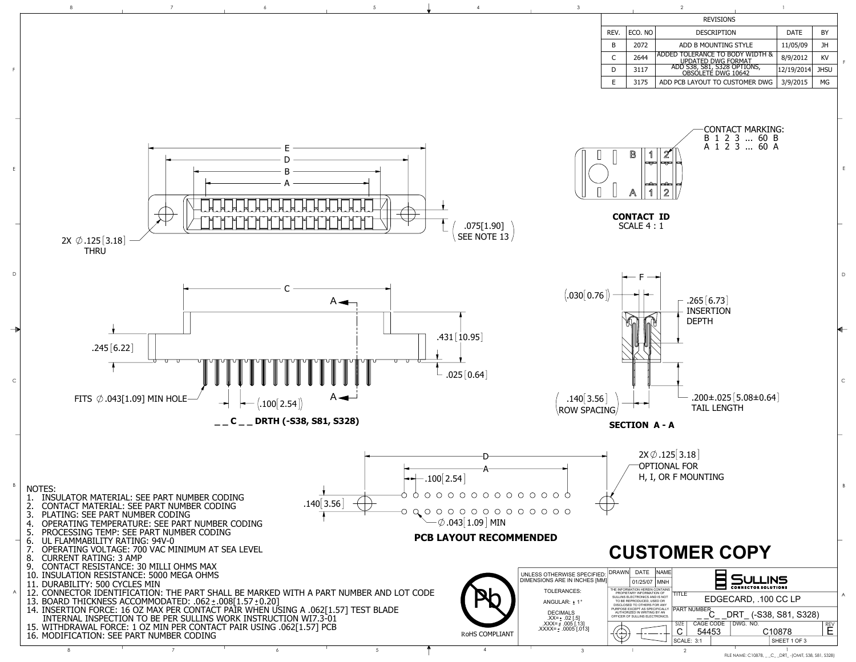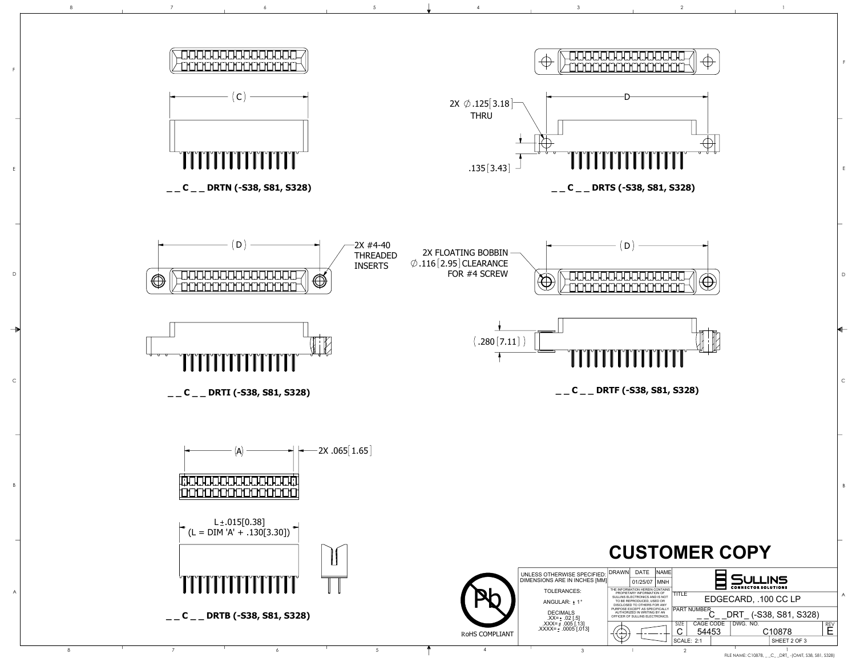B

C

D



E

F

FILE NAME: C10878, \_ \_C\_ \_DRT\_ -(OMIT, S38, S81, S328)